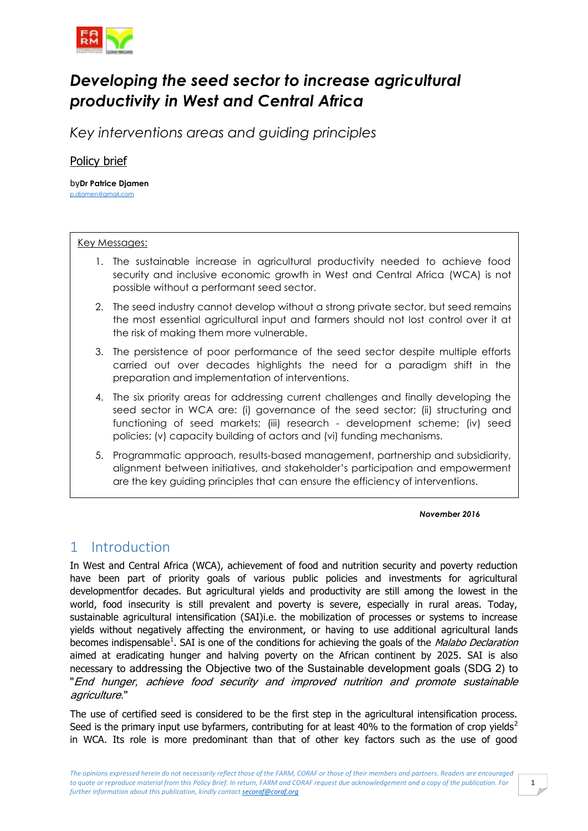

# *Developing the seed sector to increase agricultural productivity in West and Central Africa*

*Key interventions areas and guiding principles*

## Policy brief

by**Dr Patrice Djamen** [p.djamen@gmail.com](mailto:p.djamen@gmail.com)

#### Key Messages:

- 1. The sustainable increase in agricultural productivity needed to achieve food security and inclusive economic growth in West and Central Africa (WCA) is not possible without a performant seed sector.
- 2. The seed industry cannot develop without a strong private sector, but seed remains the most essential agricultural input and farmers should not lost control over it at the risk of making them more vulnerable.
- 3. The persistence of poor performance of the seed sector despite multiple efforts carried out over decades highlights the need for a paradigm shift in the preparation and implementation of interventions.
- 4. The six priority areas for addressing current challenges and finally developing the seed sector in WCA are: (i) governance of the seed sector; (ii) structuring and functioning of seed markets; (iii) research - development scheme; (iv) seed policies; (v) capacity building of actors and (vi) funding mechanisms.
- 5. Programmatic approach, results-based management, partnership and subsidiarity, alignment between initiatives, and stakeholder's participation and empowerment are the key guiding principles that can ensure the efficiency of interventions.

#### *November 2016*

## 1 Introduction

In West and Central Africa (WCA), achievement of food and nutrition security and poverty reduction have been part of priority goals of various public policies and investments for agricultural developmentfor decades. But agricultural yields and productivity are still among the lowest in the world, food insecurity is still prevalent and poverty is severe, especially in rural areas. Today, sustainable agricultural intensification (SAI)i.e. the mobilization of processes or systems to increase yields without negatively affecting the environment, or having to use additional agricultural lands becomes indispensable<sup>1</sup>. SAI is one of the conditions for achieving the goals of the *Malabo Declaration* aimed at eradicating hunger and halving poverty on the African continent by 2025. SAI is also necessary to addressing the Objective two of the Sustainable development goals (SDG 2) to "End hunger, achieve food security and improved nutrition and promote sustainable agriculture."

The use of certified seed is considered to be the first step in the agricultural intensification process. Seed is the primary input use byfarmers, contributing for at least 40% to the formation of crop yields<sup>2</sup> in WCA. Its role is more predominant than that of other key factors such as the use of good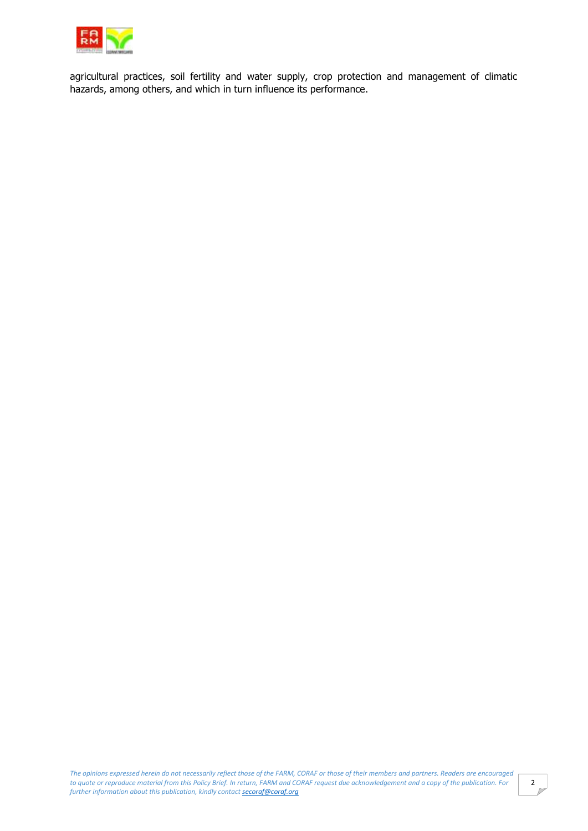

agricultural practices, soil fertility and water supply, crop protection and management of climatic hazards, among others, and which in turn influence its performance.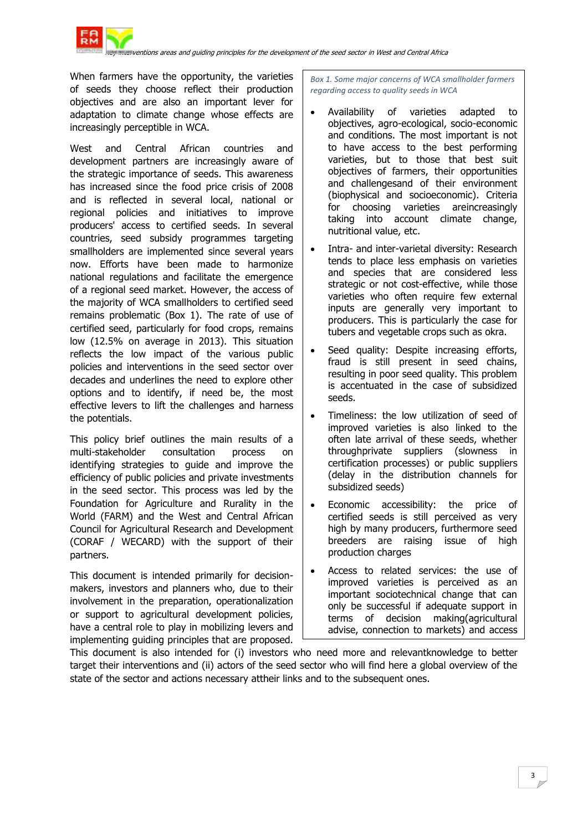

When farmers have the opportunity, the varieties of seeds they choose reflect their production objectives and are also an important lever for adaptation to climate change whose effects are increasingly perceptible in WCA.

West and Central African countries and development partners are increasingly aware of the strategic importance of seeds. This awareness has increased since the food price crisis of 2008 and is reflected in several local, national or regional policies and initiatives to improve producers' access to certified seeds. In several countries, seed subsidy programmes targeting smallholders are implemented since several years now. Efforts have been made to harmonize national regulations and facilitate the emergence of a regional seed market. However, the access of the majority of WCA smallholders to certified seed remains problematic (Box 1). The rate of use of certified seed, particularly for food crops, remains low (12.5% on average in 2013). This situation reflects the low impact of the various public policies and interventions in the seed sector over decades and underlines the need to explore other options and to identify, if need be, the most effective levers to lift the challenges and harness the potentials.

This policy brief outlines the main results of a multi-stakeholder consultation process on identifying strategies to guide and improve the efficiency of public policies and private investments in the seed sector. This process was led by the Foundation for Agriculture and Rurality in the World (FARM) and the West and Central African Council for Agricultural Research and Development (CORAF / WECARD) with the support of their partners.

This document is intended primarily for decisionmakers, investors and planners who, due to their involvement in the preparation, operationalization or support to agricultural development policies, have a central role to play in mobilizing levers and implementing guiding principles that are proposed.

*Box 1. Some major concerns of WCA smallholder farmers regarding access to quality seeds in WCA*

- Availability of varieties adapted to objectives, agro-ecological, socio-economic and conditions. The most important is not to have access to the best performing varieties, but to those that best suit objectives of farmers, their opportunities and challengesand of their environment (biophysical and socioeconomic). Criteria for choosing varieties areincreasingly taking into account climate change, nutritional value, etc.
- Intra- and inter-varietal diversity: Research tends to place less emphasis on varieties and species that are considered less strategic or not cost-effective, while those varieties who often require few external inputs are generally very important to producers. This is particularly the case for tubers and vegetable crops such as okra.
- Seed quality: Despite increasing efforts, fraud is still present in seed chains, resulting in poor seed quality. This problem is accentuated in the case of subsidized seeds.
- Timeliness: the low utilization of seed of improved varieties is also linked to the often late arrival of these seeds, whether throughprivate suppliers (slowness in certification processes) or public suppliers (delay in the distribution channels for subsidized seeds)
- Economic accessibility: the price of certified seeds is still perceived as very high by many producers, furthermore seed breeders are raising issue of high production charges
- Access to related services: the use of improved varieties is perceived as an important sociotechnical change that can only be successful if adequate support in terms of decision making(agricultural advise, connection to markets) and access

to knowledge and necessary resources and necessary resources and necessary resources This document is also intended for (i) investors who need more and relevantknowledge to better target their interventions and (ii) actors of the seed sector who will find here a global overview of the state of the sector and actions necessary attheir links and to the subsequent ones.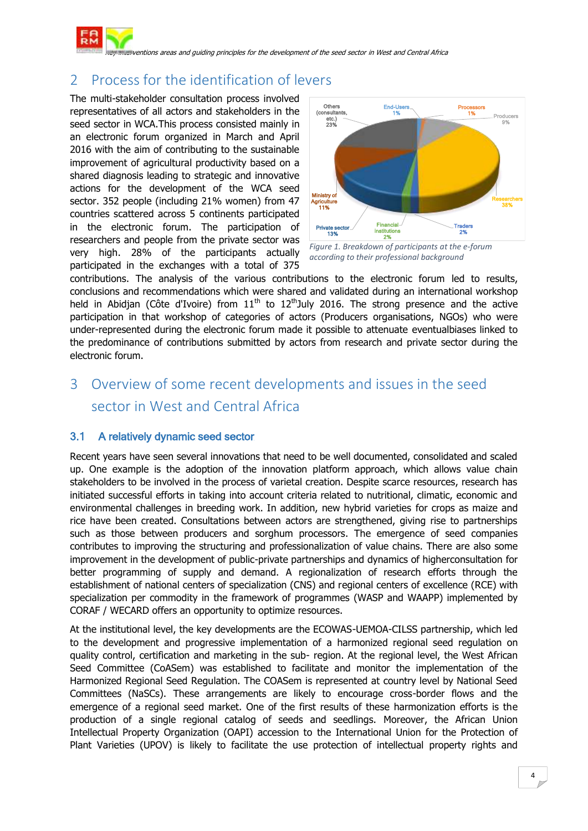

# 2 Process for the identification of levers

The multi-stakeholder consultation process involved representatives of all actors and stakeholders in the seed sector in WCA.This process consisted mainly in an electronic forum organized in March and April 2016 with the aim of contributing to the sustainable improvement of agricultural productivity based on a shared diagnosis leading to strategic and innovative actions for the development of the WCA seed sector. 352 people (including 21% women) from 47 countries scattered across 5 continents participated in the electronic forum. The participation of researchers and people from the private sector was very high. 28% of the participants actually participated in the exchanges with a total of 375



*Figure 1. Breakdown of participants at the e-forum according to their professional background*

contributions. The analysis of the various contributions to the electronic forum led to results, conclusions and recommendations which were shared and validated during an international workshop held in Abidjan (Côte d'Ivoire) from  $11<sup>th</sup>$  to  $12<sup>th</sup>$ July 2016. The strong presence and the active participation in that workshop of categories of actors (Producers organisations, NGOs) who were under-represented during the electronic forum made it possible to attenuate eventualbiases linked to the predominance of contributions submitted by actors from research and private sector during the electronic forum.

# 3 Overview of some recent developments and issues in the seed sector in West and Central Africa

### 3.1 A relatively dynamic seed sector

Recent years have seen several innovations that need to be well documented, consolidated and scaled up. One example is the adoption of the innovation platform approach, which allows value chain stakeholders to be involved in the process of varietal creation. Despite scarce resources, research has initiated successful efforts in taking into account criteria related to nutritional, climatic, economic and environmental challenges in breeding work. In addition, new hybrid varieties for crops as maize and rice have been created. Consultations between actors are strengthened, giving rise to partnerships such as those between producers and sorghum processors. The emergence of seed companies contributes to improving the structuring and professionalization of value chains. There are also some improvement in the development of public-private partnerships and dynamics of higherconsultation for better programming of supply and demand. A regionalization of research efforts through the establishment of national centers of specialization (CNS) and regional centers of excellence (RCE) with specialization per commodity in the framework of programmes (WASP and WAAPP) implemented by CORAF / WECARD offers an opportunity to optimize resources.

At the institutional level, the key developments are the ECOWAS-UEMOA-CILSS partnership, which led to the development and progressive implementation of a harmonized regional seed regulation on quality control, certification and marketing in the sub- region. At the regional level, the West African Seed Committee (CoASem) was established to facilitate and monitor the implementation of the Harmonized Regional Seed Regulation. The COASem is represented at country level by National Seed Committees (NaSCs). These arrangements are likely to encourage cross-border flows and the emergence of a regional seed market. One of the first results of these harmonization efforts is the production of a single regional catalog of seeds and seedlings. Moreover, the African Union Intellectual Property Organization (OAPI) accession to the International Union for the Protection of Plant Varieties (UPOV) is likely to facilitate the use protection of intellectual property rights and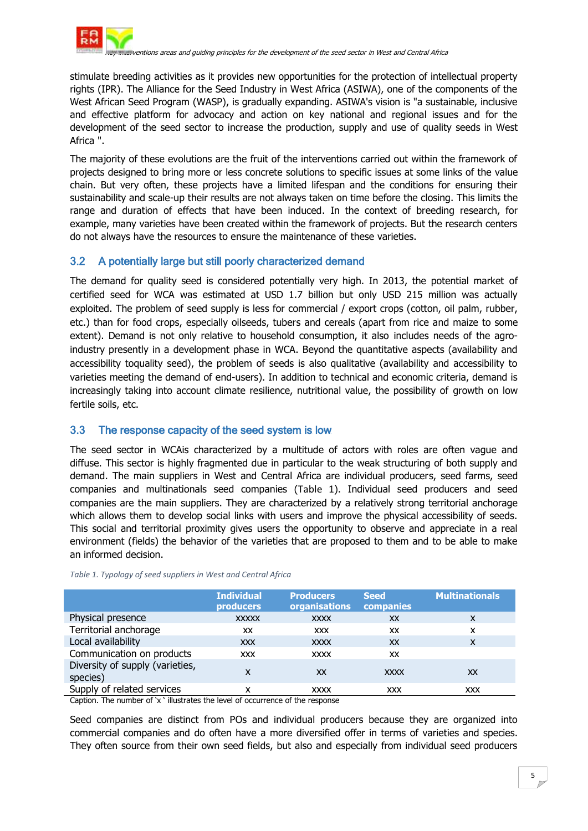

stimulate breeding activities as it provides new opportunities for the protection of intellectual property rights (IPR). The Alliance for the Seed Industry in West Africa (ASIWA), one of the components of the West African Seed Program (WASP), is gradually expanding. ASIWA's vision is "a sustainable, inclusive and effective platform for advocacy and action on key national and regional issues and for the development of the seed sector to increase the production, supply and use of quality seeds in West Africa ".

The majority of these evolutions are the fruit of the interventions carried out within the framework of projects designed to bring more or less concrete solutions to specific issues at some links of the value chain. But very often, these projects have a limited lifespan and the conditions for ensuring their sustainability and scale-up their results are not always taken on time before the closing. This limits the range and duration of effects that have been induced. In the context of breeding research, for example, many varieties have been created within the framework of projects. But the research centers do not always have the resources to ensure the maintenance of these varieties.

### 3.2 A potentially large but still poorly characterized demand

The demand for quality seed is considered potentially very high. In 2013, the potential market of certified seed for WCA was estimated at USD 1.7 billion but only USD 215 million was actually exploited. The problem of seed supply is less for commercial / export crops (cotton, oil palm, rubber, etc.) than for food crops, especially oilseeds, tubers and cereals (apart from rice and maize to some extent). Demand is not only relative to household consumption, it also includes needs of the agroindustry presently in a development phase in WCA. Beyond the quantitative aspects (availability and accessibility toquality seed), the problem of seeds is also qualitative (availability and accessibility to varieties meeting the demand of end-users). In addition to technical and economic criteria, demand is increasingly taking into account climate resilience, nutritional value, the possibility of growth on low fertile soils, etc.

### 3.3 The response capacity of the seed system is low

The seed sector in WCAis characterized by a multitude of actors with roles are often vague and diffuse. This sector is highly fragmented due in particular to the weak structuring of both supply and demand. The main suppliers in West and Central Africa are individual producers, seed farms, seed companies and multinationals seed companies ([Table 1](#page-4-0)). Individual seed producers and seed companies are the main suppliers. They are characterized by a relatively strong territorial anchorage which allows them to develop social links with users and improve the physical accessibility of seeds. This social and territorial proximity gives users the opportunity to observe and appreciate in a real environment (fields) the behavior of the varieties that are proposed to them and to be able to make an informed decision.

|                                             | <b>Individual</b><br><b>producers</b> | <b>Producers</b><br><b>organisations</b> | <b>Seed</b><br>companies | <b>Multinationals</b> |
|---------------------------------------------|---------------------------------------|------------------------------------------|--------------------------|-----------------------|
| Physical presence                           | <b>XXXXX</b>                          | <b>XXXX</b>                              | XX                       | X                     |
| Territorial anchorage                       | XX                                    | <b>XXX</b>                               | XX                       | x                     |
| Local availability                          | <b>XXX</b>                            | <b>XXXX</b>                              | XX                       | X                     |
| Communication on products                   | <b>XXX</b>                            | <b>XXXX</b>                              | XX                       |                       |
| Diversity of supply (varieties,<br>species) | x                                     | <b>XX</b>                                | <b>XXXX</b>              | XX                    |
| Supply of related services                  | x                                     | <b>XXXX</b>                              | <b>XXX</b>               | XXX                   |

#### <span id="page-4-0"></span>*Table 1. Typology of seed suppliers in West and Central Africa*

Caption. The number of "x " illustrates the level of occurrence of the response

Seed companies are distinct from POs and individual producers because they are organized into commercial companies and do often have a more diversified offer in terms of varieties and species. They often source from their own seed fields, but also and especially from individual seed producers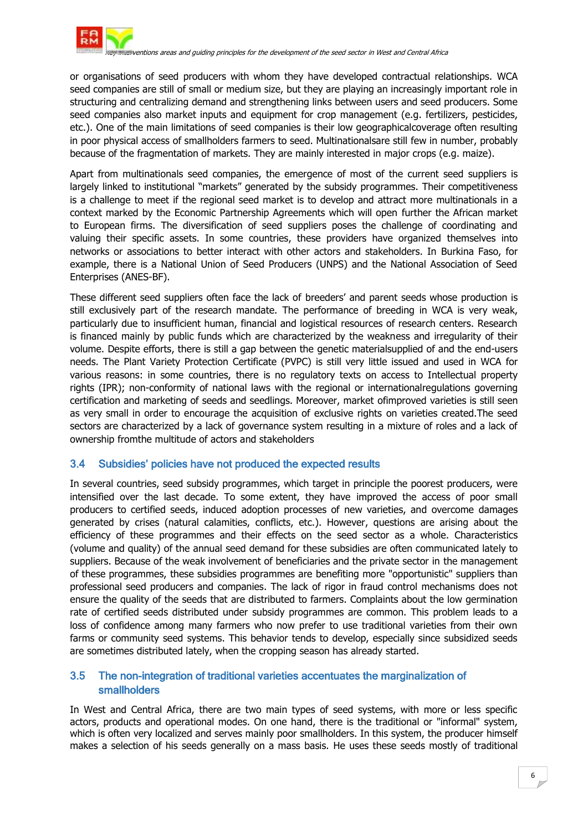

or organisations of seed producers with whom they have developed contractual relationships. WCA seed companies are still of small or medium size, but they are playing an increasingly important role in structuring and centralizing demand and strengthening links between users and seed producers. Some seed companies also market inputs and equipment for crop management (e.g. fertilizers, pesticides, etc.). One of the main limitations of seed companies is their low geographicalcoverage often resulting in poor physical access of smallholders farmers to seed. Multinationalsare still few in number, probably because of the fragmentation of markets. They are mainly interested in major crops (e.g. maize).

Apart from multinationals seed companies, the emergence of most of the current seed suppliers is largely linked to institutional "markets" generated by the subsidy programmes. Their competitiveness is a challenge to meet if the regional seed market is to develop and attract more multinationals in a context marked by the Economic Partnership Agreements which will open further the African market to European firms. The diversification of seed suppliers poses the challenge of coordinating and valuing their specific assets. In some countries, these providers have organized themselves into networks or associations to better interact with other actors and stakeholders. In Burkina Faso, for example, there is a National Union of Seed Producers (UNPS) and the National Association of Seed Enterprises (ANES-BF).

These different seed suppliers often face the lack of breeders" and parent seeds whose production is still exclusively part of the research mandate. The performance of breeding in WCA is very weak, particularly due to insufficient human, financial and logistical resources of research centers. Research is financed mainly by public funds which are characterized by the weakness and irregularity of their volume. Despite efforts, there is still a gap between the genetic materialsupplied of and the end-users needs. The Plant Variety Protection Certificate (PVPC) is still very little issued and used in WCA for various reasons: in some countries, there is no regulatory texts on access to Intellectual property rights (IPR); non-conformity of national laws with the regional or internationalregulations governing certification and marketing of seeds and seedlings. Moreover, market ofimproved varieties is still seen as very small in order to encourage the acquisition of exclusive rights on varieties created.The seed sectors are characterized by a lack of governance system resulting in a mixture of roles and a lack of ownership fromthe multitude of actors and stakeholders

#### 3.4 Subsidies' policies have not produced the expected results

In several countries, seed subsidy programmes, which target in principle the poorest producers, were intensified over the last decade. To some extent, they have improved the access of poor small producers to certified seeds, induced adoption processes of new varieties, and overcome damages generated by crises (natural calamities, conflicts, etc.). However, questions are arising about the efficiency of these programmes and their effects on the seed sector as a whole. Characteristics (volume and quality) of the annual seed demand for these subsidies are often communicated lately to suppliers. Because of the weak involvement of beneficiaries and the private sector in the management of these programmes, these subsidies programmes are benefiting more "opportunistic" suppliers than professional seed producers and companies. The lack of rigor in fraud control mechanisms does not ensure the quality of the seeds that are distributed to farmers. Complaints about the low germination rate of certified seeds distributed under subsidy programmes are common. This problem leads to a loss of confidence among many farmers who now prefer to use traditional varieties from their own farms or community seed systems. This behavior tends to develop, especially since subsidized seeds are sometimes distributed lately, when the cropping season has already started.

#### 3.5 The non-integration of traditional varieties accentuates the marginalization of smallholders

In West and Central Africa, there are two main types of seed systems, with more or less specific actors, products and operational modes. On one hand, there is the traditional or "informal" system, which is often very localized and serves mainly poor smallholders. In this system, the producer himself makes a selection of his seeds generally on a mass basis. He uses these seeds mostly of traditional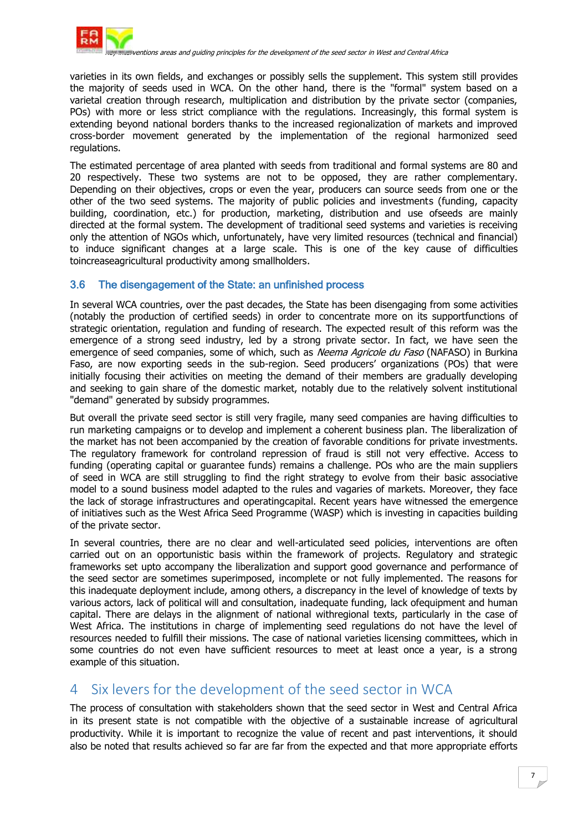

varieties in its own fields, and exchanges or possibly sells the supplement. This system still provides the majority of seeds used in WCA. On the other hand, there is the "formal" system based on a varietal creation through research, multiplication and distribution by the private sector (companies, POs) with more or less strict compliance with the regulations. Increasingly, this formal system is extending beyond national borders thanks to the increased regionalization of markets and improved cross-border movement generated by the implementation of the regional harmonized seed regulations.

The estimated percentage of area planted with seeds from traditional and formal systems are 80 and 20 respectively. These two systems are not to be opposed, they are rather complementary. Depending on their objectives, crops or even the year, producers can source seeds from one or the other of the two seed systems. The majority of public policies and investments (funding, capacity building, coordination, etc.) for production, marketing, distribution and use ofseeds are mainly directed at the formal system. The development of traditional seed systems and varieties is receiving only the attention of NGOs which, unfortunately, have very limited resources (technical and financial) to induce significant changes at a large scale. This is one of the key cause of difficulties toincreaseagricultural productivity among smallholders.

#### 3.6 The disengagement of the State: an unfinished process

In several WCA countries, over the past decades, the State has been disengaging from some activities (notably the production of certified seeds) in order to concentrate more on its supportfunctions of strategic orientation, regulation and funding of research. The expected result of this reform was the emergence of a strong seed industry, led by a strong private sector. In fact, we have seen the emergence of seed companies, some of which, such as Neema Agricole du Faso (NAFASO) in Burkina Faso, are now exporting seeds in the sub-region. Seed producers' organizations (POs) that were initially focusing their activities on meeting the demand of their members are gradually developing and seeking to gain share of the domestic market, notably due to the relatively solvent institutional "demand" generated by subsidy programmes.

But overall the private seed sector is still very fragile, many seed companies are having difficulties to run marketing campaigns or to develop and implement a coherent business plan. The liberalization of the market has not been accompanied by the creation of favorable conditions for private investments. The regulatory framework for controland repression of fraud is still not very effective. Access to funding (operating capital or guarantee funds) remains a challenge. POs who are the main suppliers of seed in WCA are still struggling to find the right strategy to evolve from their basic associative model to a sound business model adapted to the rules and vagaries of markets. Moreover, they face the lack of storage infrastructures and operatingcapital. Recent years have witnessed the emergence of initiatives such as the West Africa Seed Programme (WASP) which is investing in capacities building of the private sector.

In several countries, there are no clear and well-articulated seed policies, interventions are often carried out on an opportunistic basis within the framework of projects. Regulatory and strategic frameworks set upto accompany the liberalization and support good governance and performance of the seed sector are sometimes superimposed, incomplete or not fully implemented. The reasons for this inadequate deployment include, among others, a discrepancy in the level of knowledge of texts by various actors, lack of political will and consultation, inadequate funding, lack ofequipment and human capital. There are delays in the alignment of national withregional texts, particularly in the case of West Africa. The institutions in charge of implementing seed regulations do not have the level of resources needed to fulfill their missions. The case of national varieties licensing committees, which in some countries do not even have sufficient resources to meet at least once a year, is a strong example of this situation.

## 4 Six levers for the development of the seed sector in WCA

The process of consultation with stakeholders shown that the seed sector in West and Central Africa in its present state is not compatible with the objective of a sustainable increase of agricultural productivity. While it is important to recognize the value of recent and past interventions, it should also be noted that results achieved so far are far from the expected and that more appropriate efforts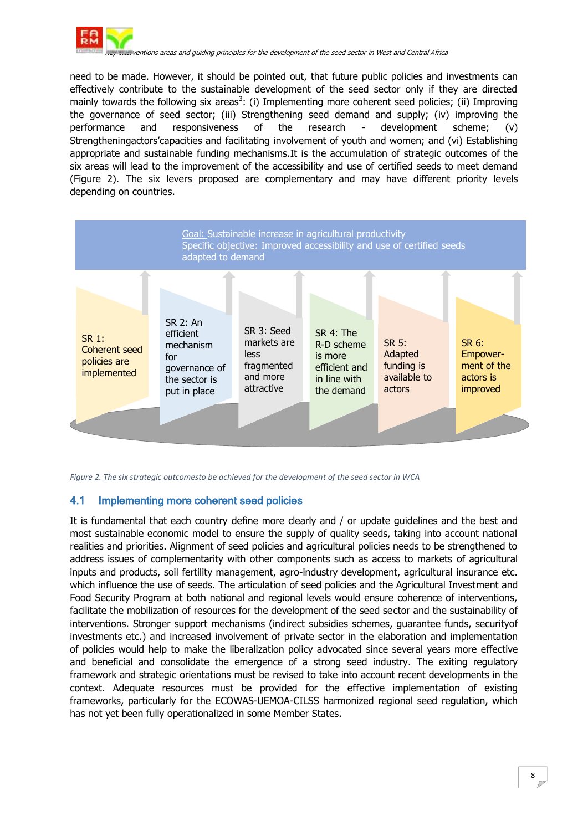

need to be made. However, it should be pointed out, that future public policies and investments can effectively contribute to the sustainable development of the seed sector only if they are directed mainly towards the following six areas<sup>3</sup>: (i) Implementing more coherent seed policies; (ii) Improving the governance of seed sector; (iii) Strengthening seed demand and supply; (iv) improving the performance and responsiveness of the research - development scheme; (v) Strengtheningactors"capacities and facilitating involvement of youth and women; and (vi) Establishing appropriate and sustainable funding mechanisms.It is the accumulation of strategic outcomes of the six areas will lead to the improvement of the accessibility and use of certified seeds to meet demand (Figure 2). The six levers proposed are complementary and may have different priority levels depending on countries.



*Figure 2. The six strategic outcomesto be achieved for the development of the seed sector in WCA*

#### 4.1 Implementing more coherent seed policies

It is fundamental that each country define more clearly and / or update guidelines and the best and most sustainable economic model to ensure the supply of quality seeds, taking into account national realities and priorities. Alignment of seed policies and agricultural policies needs to be strengthened to address issues of complementarity with other components such as access to markets of agricultural inputs and products, soil fertility management, agro-industry development, agricultural insurance etc. which influence the use of seeds. The articulation of seed policies and the Agricultural Investment and Food Security Program at both national and regional levels would ensure coherence of interventions, facilitate the mobilization of resources for the development of the seed sector and the sustainability of interventions. Stronger support mechanisms (indirect subsidies schemes, guarantee funds, securityof investments etc.) and increased involvement of private sector in the elaboration and implementation of policies would help to make the liberalization policy advocated since several years more effective and beneficial and consolidate the emergence of a strong seed industry. The exiting regulatory framework and strategic orientations must be revised to take into account recent developments in the context. Adequate resources must be provided for the effective implementation of existing frameworks, particularly for the ECOWAS-UEMOA-CILSS harmonized regional seed regulation, which has not yet been fully operationalized in some Member States.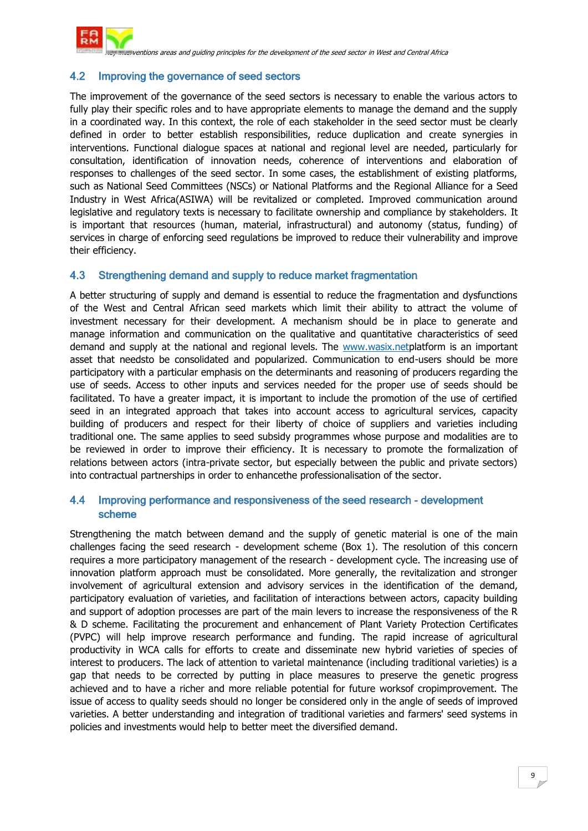

#### 4.2 Improving the governance of seed sectors

The improvement of the governance of the seed sectors is necessary to enable the various actors to fully play their specific roles and to have appropriate elements to manage the demand and the supply in a coordinated way. In this context, the role of each stakeholder in the seed sector must be clearly defined in order to better establish responsibilities, reduce duplication and create synergies in interventions. Functional dialogue spaces at national and regional level are needed, particularly for consultation, identification of innovation needs, coherence of interventions and elaboration of responses to challenges of the seed sector. In some cases, the establishment of existing platforms, such as National Seed Committees (NSCs) or National Platforms and the Regional Alliance for a Seed Industry in West Africa(ASIWA) will be revitalized or completed. Improved communication around legislative and regulatory texts is necessary to facilitate ownership and compliance by stakeholders. It is important that resources (human, material, infrastructural) and autonomy (status, funding) of services in charge of enforcing seed regulations be improved to reduce their vulnerability and improve their efficiency.

#### 4.3 Strengthening demand and supply to reduce market fragmentation

A better structuring of supply and demand is essential to reduce the fragmentation and dysfunctions of the West and Central African seed markets which limit their ability to attract the volume of investment necessary for their development. A mechanism should be in place to generate and manage information and communication on the qualitative and quantitative characteristics of seed demand and supply at the national and regional levels. The [www.wasix.netp](http://www.wasix.net/)latform is an important asset that needsto be consolidated and popularized. Communication to end-users should be more participatory with a particular emphasis on the determinants and reasoning of producers regarding the use of seeds. Access to other inputs and services needed for the proper use of seeds should be facilitated. To have a greater impact, it is important to include the promotion of the use of certified seed in an integrated approach that takes into account access to agricultural services, capacity building of producers and respect for their liberty of choice of suppliers and varieties including traditional one. The same applies to seed subsidy programmes whose purpose and modalities are to be reviewed in order to improve their efficiency. It is necessary to promote the formalization of relations between actors (intra-private sector, but especially between the public and private sectors) into contractual partnerships in order to enhancethe professionalisation of the sector.

#### 4.4 Improving performance and responsiveness of the seed research - development scheme

Strengthening the match between demand and the supply of genetic material is one of the main challenges facing the seed research - development scheme (Box 1). The resolution of this concern requires a more participatory management of the research - development cycle. The increasing use of innovation platform approach must be consolidated. More generally, the revitalization and stronger involvement of agricultural extension and advisory services in the identification of the demand, participatory evaluation of varieties, and facilitation of interactions between actors, capacity building and support of adoption processes are part of the main levers to increase the responsiveness of the R & D scheme. Facilitating the procurement and enhancement of Plant Variety Protection Certificates (PVPC) will help improve research performance and funding. The rapid increase of agricultural productivity in WCA calls for efforts to create and disseminate new hybrid varieties of species of interest to producers. The lack of attention to varietal maintenance (including traditional varieties) is a gap that needs to be corrected by putting in place measures to preserve the genetic progress achieved and to have a richer and more reliable potential for future worksof cropimprovement. The issue of access to quality seeds should no longer be considered only in the angle of seeds of improved varieties. A better understanding and integration of traditional varieties and farmers' seed systems in policies and investments would help to better meet the diversified demand.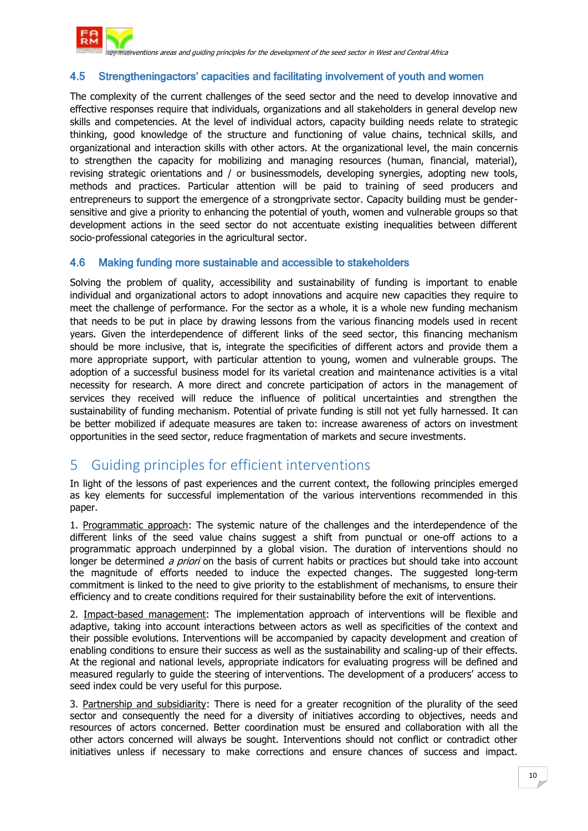

#### 4.5 Strengtheningactors' capacities and facilitating involvement of youth and women

The complexity of the current challenges of the seed sector and the need to develop innovative and effective responses require that individuals, organizations and all stakeholders in general develop new skills and competencies. At the level of individual actors, capacity building needs relate to strategic thinking, good knowledge of the structure and functioning of value chains, technical skills, and organizational and interaction skills with other actors. At the organizational level, the main concernis to strengthen the capacity for mobilizing and managing resources (human, financial, material), revising strategic orientations and / or businessmodels, developing synergies, adopting new tools, methods and practices. Particular attention will be paid to training of seed producers and entrepreneurs to support the emergence of a strongprivate sector. Capacity building must be gendersensitive and give a priority to enhancing the potential of youth, women and vulnerable groups so that development actions in the seed sector do not accentuate existing inequalities between different socio-professional categories in the agricultural sector.

#### 4.6 Making funding more sustainable and accessible to stakeholders

Solving the problem of quality, accessibility and sustainability of funding is important to enable individual and organizational actors to adopt innovations and acquire new capacities they require to meet the challenge of performance. For the sector as a whole, it is a whole new funding mechanism that needs to be put in place by drawing lessons from the various financing models used in recent years. Given the interdependence of different links of the seed sector, this financing mechanism should be more inclusive, that is, integrate the specificities of different actors and provide them a more appropriate support, with particular attention to young, women and vulnerable groups. The adoption of a successful business model for its varietal creation and maintenance activities is a vital necessity for research. A more direct and concrete participation of actors in the management of services they received will reduce the influence of political uncertainties and strengthen the sustainability of funding mechanism. Potential of private funding is still not yet fully harnessed. It can be better mobilized if adequate measures are taken to: increase awareness of actors on investment opportunities in the seed sector, reduce fragmentation of markets and secure investments.

## 5 Guiding principles for efficient interventions

In light of the lessons of past experiences and the current context, the following principles emerged as key elements for successful implementation of the various interventions recommended in this paper.

1. Programmatic approach: The systemic nature of the challenges and the interdependence of the different links of the seed value chains suggest a shift from punctual or one-off actions to a programmatic approach underpinned by a global vision. The duration of interventions should no longer be determined a priori on the basis of current habits or practices but should take into account the magnitude of efforts needed to induce the expected changes. The suggested long-term commitment is linked to the need to give priority to the establishment of mechanisms, to ensure their efficiency and to create conditions required for their sustainability before the exit of interventions.

2. Impact-based management: The implementation approach of interventions will be flexible and adaptive, taking into account interactions between actors as well as specificities of the context and their possible evolutions. Interventions will be accompanied by capacity development and creation of enabling conditions to ensure their success as well as the sustainability and scaling-up of their effects. At the regional and national levels, appropriate indicators for evaluating progress will be defined and measured regularly to guide the steering of interventions. The development of a producers' access to seed index could be very useful for this purpose.

3. Partnership and subsidiarity: There is need for a greater recognition of the plurality of the seed sector and consequently the need for a diversity of initiatives according to objectives, needs and resources of actors concerned. Better coordination must be ensured and collaboration with all the other actors concerned will always be sought. Interventions should not conflict or contradict other initiatives unless if necessary to make corrections and ensure chances of success and impact.